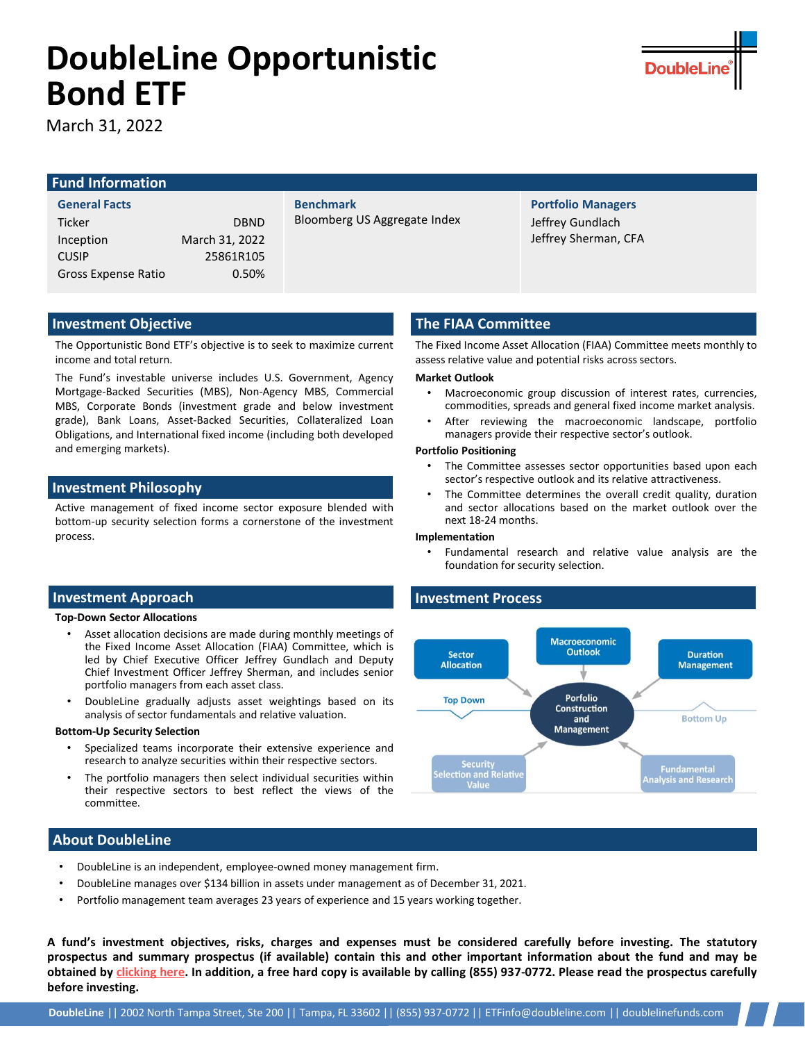# **DoubleLine Opportunistic Bond ETF**

March 31, 2022

## **Fund Information**

### **General Facts**

| <b>Ticker</b>       | <b>DBND</b>    |
|---------------------|----------------|
| Inception           | March 31, 2022 |
| <b>CUSIP</b>        | 25861R105      |
| Gross Expense Ratio | 0.50%          |
|                     |                |

**Benchmark** Bloomberg US Aggregate Index

## **Portfolio Managers** Jeffrey Gundlach Jeffrey Sherman, CFA

**DoubleL** 

## **Investment Objective**

The Opportunistic Bond ETF's objective is to seek to maximize current income and total return.

The Fund's investable universe includes U.S. Government, Agency Mortgage-Backed Securities (MBS), Non-Agency MBS, Commercial MBS, Corporate Bonds (investment grade and below investment grade), Bank Loans, Asset-Backed Securities, Collateralized Loan Obligations, and International fixed income (including both developed and emerging markets).

## **Investment Philosophy**

Active management of fixed income sector exposure blended with bottom-up security selection forms a cornerstone of the investment process.

## **Investment Approach**

#### **Top-Down Sector Allocations**

- Asset allocation decisions are made during monthly meetings of the Fixed Income Asset Allocation (FIAA) Committee, which is led by Chief Executive Officer Jeffrey Gundlach and Deputy Chief Investment Officer Jeffrey Sherman, and includes senior portfolio managers from each asset class.
- DoubleLine gradually adjusts asset weightings based on its analysis of sector fundamentals and relative valuation.

#### **Bottom-Up Security Selection**

- Specialized teams incorporate their extensive experience and research to analyze securities within their respective sectors.
- The portfolio managers then select individual securities within their respective sectors to best reflect the views of the committee.

## **About DoubleLine**

- DoubleLine is an independent, employee-owned money management firm.
- DoubleLine manages over \$134 billion in assets under management as of December 31, 2021.
- Portfolio management team averages 23 years of experience and 15 years working together.

A fund's investment objectives, risks, charges and expenses must be considered carefully before investing. The statutory prospectus and summary prospectus (if available) contain this and other important information about the fund and may be obtained by [clicking](https://doublelinefunds.com/prospectuses/) here. In addition, a free hard copy is available by calling (855) 937-0772. Please read the prospectus carefully **before investing.**

## **The FIAA Committee**

The Fixed Income Asset Allocation (FIAA) Committee meets monthly to assess relative value and potential risks across sectors.

#### **Market Outlook**

- Macroeconomic group discussion of interest rates, currencies, commodities, spreads and general fixed income market analysis.
- After reviewing the macroeconomic landscape, portfolio managers provide their respective sector's outlook.

### **Portfolio Positioning**

- The Committee assesses sector opportunities based upon each sector's respective outlook and its relative attractiveness.
- The Committee determines the overall credit quality, duration and sector allocations based on the market outlook over the next 18-24 months.

#### **Implementation**

• Fundamental research and relative value analysis are the foundation for security selection.

## **Investment Process**